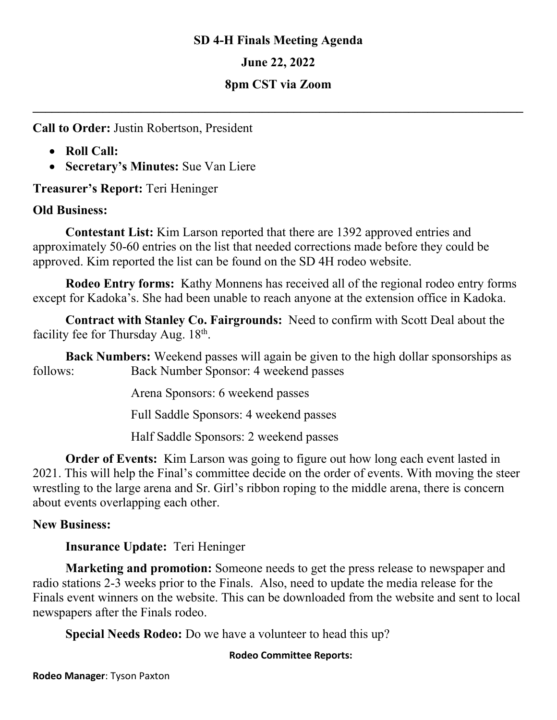### **SD 4-H Finals Meeting Agenda**

**June 22, 2022**

## **8pm CST via Zoom**

**\_\_\_\_\_\_\_\_\_\_\_\_\_\_\_\_\_\_\_\_\_\_\_\_\_\_\_\_\_\_\_\_\_\_\_\_\_\_\_\_\_\_\_\_\_\_\_\_\_\_\_\_\_\_\_\_\_\_\_\_\_\_\_\_\_\_\_\_\_\_\_\_\_\_\_\_\_**

**Call to Order:** Justin Robertson, President

- **Roll Call:**
- **Secretary's Minutes:** Sue Van Liere

**Treasurer's Report:** Teri Heninger

## **Old Business:**

**Contestant List:** Kim Larson reported that there are 1392 approved entries and approximately 50-60 entries on the list that needed corrections made before they could be approved. Kim reported the list can be found on the SD 4H rodeo website.

**Rodeo Entry forms:** Kathy Monnens has received all of the regional rodeo entry forms except for Kadoka's. She had been unable to reach anyone at the extension office in Kadoka.

**Contract with Stanley Co. Fairgrounds:** Need to confirm with Scott Deal about the facility fee for Thursday Aug. 18<sup>th</sup>.

**Back Numbers:** Weekend passes will again be given to the high dollar sponsorships as follows: Back Number Sponsor: 4 weekend passes

Arena Sponsors: 6 weekend passes

Full Saddle Sponsors: 4 weekend passes

Half Saddle Sponsors: 2 weekend passes

**Order of Events:** Kim Larson was going to figure out how long each event lasted in 2021. This will help the Final's committee decide on the order of events. With moving the steer wrestling to the large arena and Sr. Girl's ribbon roping to the middle arena, there is concern about events overlapping each other.

# **New Business:**

**Insurance Update:** Teri Heninger

**Marketing and promotion:** Someone needs to get the press release to newspaper and radio stations 2-3 weeks prior to the Finals. Also, need to update the media release for the Finals event winners on the website. This can be downloaded from the website and sent to local newspapers after the Finals rodeo.

**Special Needs Rodeo:** Do we have a volunteer to head this up?

#### **Rodeo Committee Reports:**